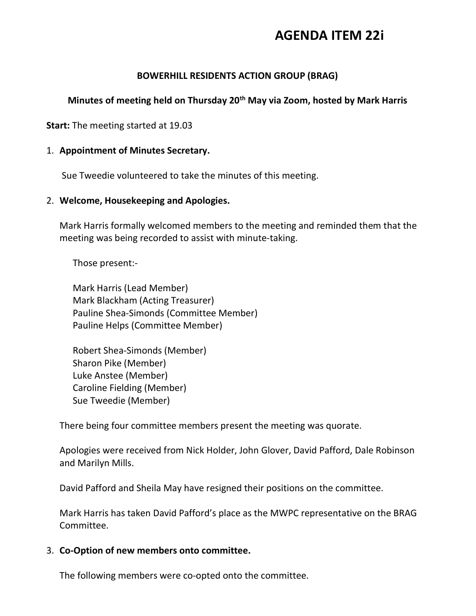# AGENDA ITEM 22i

## BOWERHILL RESIDENTS ACTION GROUP (BRAG)

# Minutes of meeting held on Thursday 20<sup>th</sup> May via Zoom, hosted by Mark Harris

Start: The meeting started at 19.03

## 1. Appointment of Minutes Secretary.

Sue Tweedie volunteered to take the minutes of this meeting.

## 2. Welcome, Housekeeping and Apologies.

Mark Harris formally welcomed members to the meeting and reminded them that the meeting was being recorded to assist with minute-taking.

Those present:-

Mark Harris (Lead Member) Mark Blackham (Acting Treasurer) Pauline Shea-Simonds (Committee Member) Pauline Helps (Committee Member)

Robert Shea-Simonds (Member) Sharon Pike (Member) Luke Anstee (Member) Caroline Fielding (Member) Sue Tweedie (Member)

There being four committee members present the meeting was quorate.

Apologies were received from Nick Holder, John Glover, David Pafford, Dale Robinson and Marilyn Mills.

David Pafford and Sheila May have resigned their positions on the committee.

Mark Harris has taken David Pafford's place as the MWPC representative on the BRAG Committee.

## 3. Co-Option of new members onto committee.

The following members were co-opted onto the committee.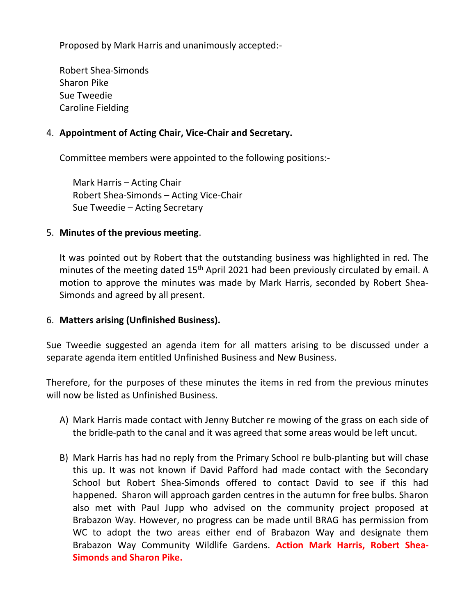Proposed by Mark Harris and unanimously accepted:-

Robert Shea-Simonds Sharon Pike Sue Tweedie Caroline Fielding

## 4. Appointment of Acting Chair, Vice-Chair and Secretary.

Committee members were appointed to the following positions:-

Mark Harris – Acting Chair Robert Shea-Simonds – Acting Vice-Chair Sue Tweedie – Acting Secretary

#### 5. Minutes of the previous meeting.

It was pointed out by Robert that the outstanding business was highlighted in red. The minutes of the meeting dated  $15<sup>th</sup>$  April 2021 had been previously circulated by email. A motion to approve the minutes was made by Mark Harris, seconded by Robert Shea-Simonds and agreed by all present.

#### 6. Matters arising (Unfinished Business).

Sue Tweedie suggested an agenda item for all matters arising to be discussed under a separate agenda item entitled Unfinished Business and New Business.

Therefore, for the purposes of these minutes the items in red from the previous minutes will now be listed as Unfinished Business.

- A) Mark Harris made contact with Jenny Butcher re mowing of the grass on each side of the bridle-path to the canal and it was agreed that some areas would be left uncut.
- B) Mark Harris has had no reply from the Primary School re bulb-planting but will chase this up. It was not known if David Pafford had made contact with the Secondary School but Robert Shea-Simonds offered to contact David to see if this had happened. Sharon will approach garden centres in the autumn for free bulbs. Sharon also met with Paul Jupp who advised on the community project proposed at Brabazon Way. However, no progress can be made until BRAG has permission from WC to adopt the two areas either end of Brabazon Way and designate them Brabazon Way Community Wildlife Gardens. Action Mark Harris, Robert Shea-Simonds and Sharon Pike.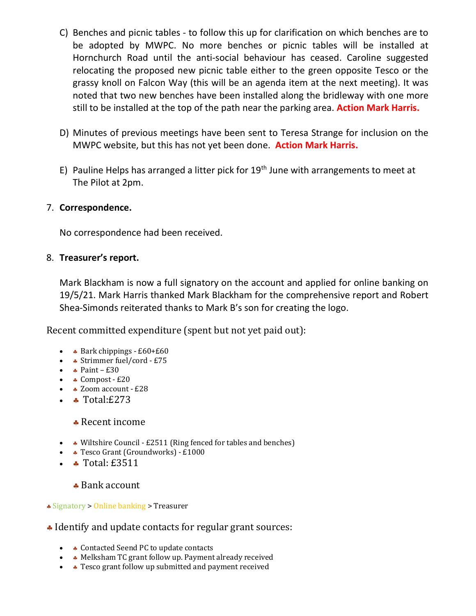- C) Benches and picnic tables to follow this up for clarification on which benches are to be adopted by MWPC. No more benches or picnic tables will be installed at Hornchurch Road until the anti-social behaviour has ceased. Caroline suggested relocating the proposed new picnic table either to the green opposite Tesco or the grassy knoll on Falcon Way (this will be an agenda item at the next meeting). It was noted that two new benches have been installed along the bridleway with one more still to be installed at the top of the path near the parking area. Action Mark Harris.
- D) Minutes of previous meetings have been sent to Teresa Strange for inclusion on the MWPC website, but this has not yet been done. Action Mark Harris.
- E) Pauline Helps has arranged a litter pick for  $19<sup>th</sup>$  June with arrangements to meet at The Pilot at 2pm.

## 7. Correspondence.

No correspondence had been received.

#### 8. Treasurer's report.

Mark Blackham is now a full signatory on the account and applied for online banking on 19/5/21. Mark Harris thanked Mark Blackham for the comprehensive report and Robert Shea-Simonds reiterated thanks to Mark B's son for creating the logo.

Recent committed expenditure (spent but not yet paid out):

- $\bullet$  A Bark chippings £60+£60
- • Strimmer fuel/cord £75
- $\bullet$   $\bullet$  Paint £30
- $\bullet$   $\bullet$  Compost £20
- **\*** Zoom account £28
- $\bullet$   $\bullet$  Total:£273

#### \* Recent income

- \* Wiltshire Council £2511 (Ring fenced for tables and benches)
- \* Tesco Grant (Groundworks) £1000
- $\bullet\quad \bullet$  Total: £3511

#### Bank account

- Signatory > Online banking > Treasurer
- **I** Identify and update contacts for regular grant sources:
	- • Contacted Seend PC to update contacts
	- • Melksham TC grant follow up. Payment already received
	- • Tesco grant follow up submitted and payment received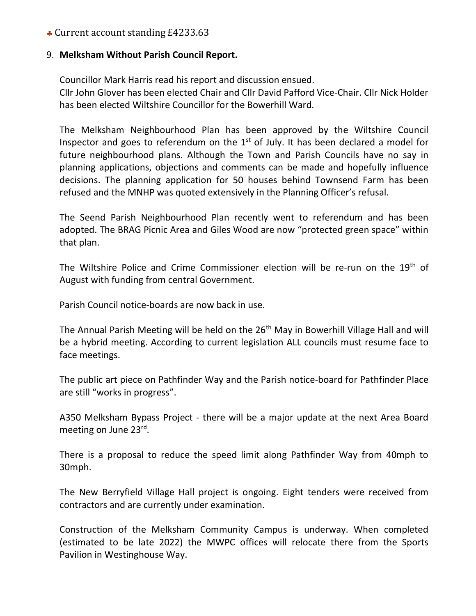#### • Current account standing £4233.63

#### 9. Melksham Without Parish Council Report.

Councillor Mark Harris read his report and discussion ensued.

Cllr John Glover has been elected Chair and Cllr David Pafford Vice-Chair. Cllr Nick Holder has been elected Wiltshire Councillor for the Bowerhill Ward.

The Melksham Neighbourhood Plan has been approved by the Wiltshire Council Inspector and goes to referendum on the  $1<sup>st</sup>$  of July. It has been declared a model for future neighbourhood plans. Although the Town and Parish Councils have no say in planning applications, objections and comments can be made and hopefully influence decisions. The planning application for 50 houses behind Townsend Farm has been refused and the MNHP was quoted extensively in the Planning Officer's refusal.

The Seend Parish Neighbourhood Plan recently went to referendum and has been adopted. The BRAG Picnic Area and Giles Wood are now "protected green space" within that plan.

The Wiltshire Police and Crime Commissioner election will be re-run on the 19<sup>th</sup> of August with funding from central Government.

Parish Council notice-boards are now back in use.

The Annual Parish Meeting will be held on the 26<sup>th</sup> May in Bowerhill Village Hall and will be a hybrid meeting. According to current legislation ALL councils must resume face to face meetings.

The public art piece on Pathfinder Way and the Parish notice-board for Pathfinder Place are still "works in progress".

A350 Melksham Bypass Project - there will be a major update at the next Area Board meeting on June 23rd.

There is a proposal to reduce the speed limit along Pathfinder Way from 40mph to 30mph.

The New Berryfield Village Hall project is ongoing. Eight tenders were received from contractors and are currently under examination.

Construction of the Melksham Community Campus is underway. When completed (estimated to be late 2022) the MWPC offices will relocate there from the Sports Pavilion in Westinghouse Way.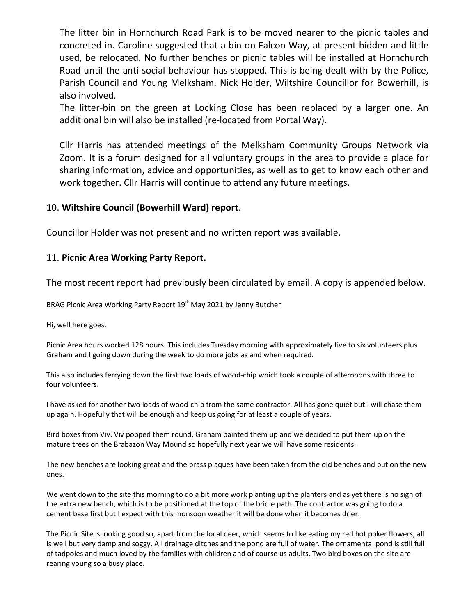The litter bin in Hornchurch Road Park is to be moved nearer to the picnic tables and concreted in. Caroline suggested that a bin on Falcon Way, at present hidden and little used, be relocated. No further benches or picnic tables will be installed at Hornchurch Road until the anti-social behaviour has stopped. This is being dealt with by the Police, Parish Council and Young Melksham. Nick Holder, Wiltshire Councillor for Bowerhill, is also involved.

The litter-bin on the green at Locking Close has been replaced by a larger one. An additional bin will also be installed (re-located from Portal Way).

Cllr Harris has attended meetings of the Melksham Community Groups Network via Zoom. It is a forum designed for all voluntary groups in the area to provide a place for sharing information, advice and opportunities, as well as to get to know each other and work together. Cllr Harris will continue to attend any future meetings.

#### 10. Wiltshire Council (Bowerhill Ward) report.

Councillor Holder was not present and no written report was available.

#### 11. Picnic Area Working Party Report.

The most recent report had previously been circulated by email. A copy is appended below.

BRAG Picnic Area Working Party Report 19<sup>th</sup> May 2021 by Jenny Butcher

Hi, well here goes.

Picnic Area hours worked 128 hours. This includes Tuesday morning with approximately five to six volunteers plus Graham and I going down during the week to do more jobs as and when required.

This also includes ferrying down the first two loads of wood-chip which took a couple of afternoons with three to four volunteers.

I have asked for another two loads of wood-chip from the same contractor. All has gone quiet but I will chase them up again. Hopefully that will be enough and keep us going for at least a couple of years.

Bird boxes from Viv. Viv popped them round, Graham painted them up and we decided to put them up on the mature trees on the Brabazon Way Mound so hopefully next year we will have some residents.

The new benches are looking great and the brass plaques have been taken from the old benches and put on the new ones.

We went down to the site this morning to do a bit more work planting up the planters and as yet there is no sign of the extra new bench, which is to be positioned at the top of the bridle path. The contractor was going to do a cement base first but I expect with this monsoon weather it will be done when it becomes drier.

The Picnic Site is looking good so, apart from the local deer, which seems to like eating my red hot poker flowers, all is well but very damp and soggy. All drainage ditches and the pond are full of water. The ornamental pond is still full of tadpoles and much loved by the families with children and of course us adults. Two bird boxes on the site are rearing young so a busy place.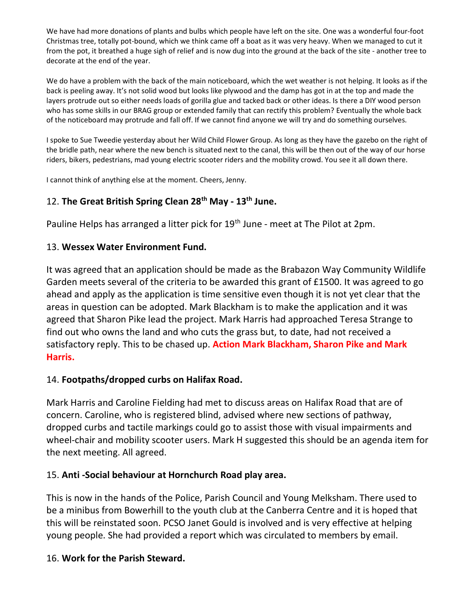We have had more donations of plants and bulbs which people have left on the site. One was a wonderful four-foot Christmas tree, totally pot-bound, which we think came off a boat as it was very heavy. When we managed to cut it from the pot, it breathed a huge sigh of relief and is now dug into the ground at the back of the site - another tree to decorate at the end of the year.

We do have a problem with the back of the main noticeboard, which the wet weather is not helping. It looks as if the back is peeling away. It's not solid wood but looks like plywood and the damp has got in at the top and made the layers protrude out so either needs loads of gorilla glue and tacked back or other ideas. Is there a DIY wood person who has some skills in our BRAG group or extended family that can rectify this problem? Eventually the whole back of the noticeboard may protrude and fall off. If we cannot find anyone we will try and do something ourselves.

I spoke to Sue Tweedie yesterday about her Wild Child Flower Group. As long as they have the gazebo on the right of the bridle path, near where the new bench is situated next to the canal, this will be then out of the way of our horse riders, bikers, pedestrians, mad young electric scooter riders and the mobility crowd. You see it all down there.

I cannot think of anything else at the moment. Cheers, Jenny.

# 12. The Great British Spring Clean 28<sup>th</sup> May - 13<sup>th</sup> June.

Pauline Helps has arranged a litter pick for 19<sup>th</sup> June - meet at The Pilot at 2pm.

## 13. Wessex Water Environment Fund.

It was agreed that an application should be made as the Brabazon Way Community Wildlife Garden meets several of the criteria to be awarded this grant of £1500. It was agreed to go ahead and apply as the application is time sensitive even though it is not yet clear that the areas in question can be adopted. Mark Blackham is to make the application and it was agreed that Sharon Pike lead the project. Mark Harris had approached Teresa Strange to find out who owns the land and who cuts the grass but, to date, had not received a satisfactory reply. This to be chased up. Action Mark Blackham, Sharon Pike and Mark Harris.

# 14. Footpaths/dropped curbs on Halifax Road.

Mark Harris and Caroline Fielding had met to discuss areas on Halifax Road that are of concern. Caroline, who is registered blind, advised where new sections of pathway, dropped curbs and tactile markings could go to assist those with visual impairments and wheel-chair and mobility scooter users. Mark H suggested this should be an agenda item for the next meeting. All agreed.

# 15. Anti -Social behaviour at Hornchurch Road play area.

This is now in the hands of the Police, Parish Council and Young Melksham. There used to be a minibus from Bowerhill to the youth club at the Canberra Centre and it is hoped that this will be reinstated soon. PCSO Janet Gould is involved and is very effective at helping young people. She had provided a report which was circulated to members by email.

## 16. Work for the Parish Steward.